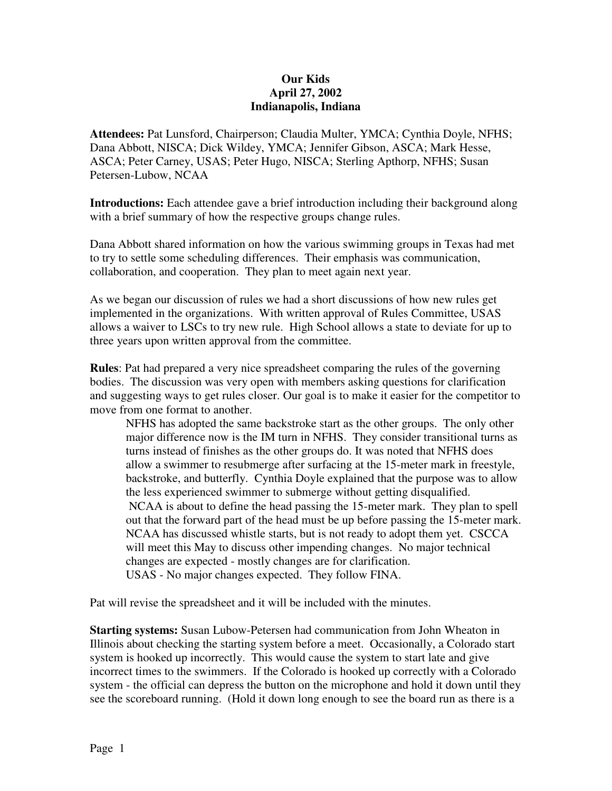## **Our Kids April 27, 2002 Indianapolis, Indiana**

**Attendees:** Pat Lunsford, Chairperson; Claudia Multer, YMCA; Cynthia Doyle, NFHS; Dana Abbott, NISCA; Dick Wildey, YMCA; Jennifer Gibson, ASCA; Mark Hesse, ASCA; Peter Carney, USAS; Peter Hugo, NISCA; Sterling Apthorp, NFHS; Susan Petersen-Lubow, NCAA

**Introductions:** Each attendee gave a brief introduction including their background along with a brief summary of how the respective groups change rules.

Dana Abbott shared information on how the various swimming groups in Texas had met to try to settle some scheduling differences. Their emphasis was communication, collaboration, and cooperation. They plan to meet again next year.

As we began our discussion of rules we had a short discussions of how new rules get implemented in the organizations. With written approval of Rules Committee, USAS allows a waiver to LSCs to try new rule. High School allows a state to deviate for up to three years upon written approval from the committee.

**Rules**: Pat had prepared a very nice spreadsheet comparing the rules of the governing bodies. The discussion was very open with members asking questions for clarification and suggesting ways to get rules closer. Our goal is to make it easier for the competitor to move from one format to another.

NFHS has adopted the same backstroke start as the other groups. The only other major difference now is the IM turn in NFHS. They consider transitional turns as turns instead of finishes as the other groups do. It was noted that NFHS does allow a swimmer to resubmerge after surfacing at the 15-meter mark in freestyle, backstroke, and butterfly. Cynthia Doyle explained that the purpose was to allow the less experienced swimmer to submerge without getting disqualified. NCAA is about to define the head passing the 15-meter mark. They plan to spell out that the forward part of the head must be up before passing the 15-meter mark. NCAA has discussed whistle starts, but is not ready to adopt them yet. CSCCA will meet this May to discuss other impending changes. No major technical changes are expected - mostly changes are for clarification. USAS - No major changes expected. They follow FINA.

Pat will revise the spreadsheet and it will be included with the minutes.

**Starting systems:** Susan Lubow-Petersen had communication from John Wheaton in Illinois about checking the starting system before a meet. Occasionally, a Colorado start system is hooked up incorrectly. This would cause the system to start late and give incorrect times to the swimmers. If the Colorado is hooked up correctly with a Colorado system - the official can depress the button on the microphone and hold it down until they see the scoreboard running. (Hold it down long enough to see the board run as there is a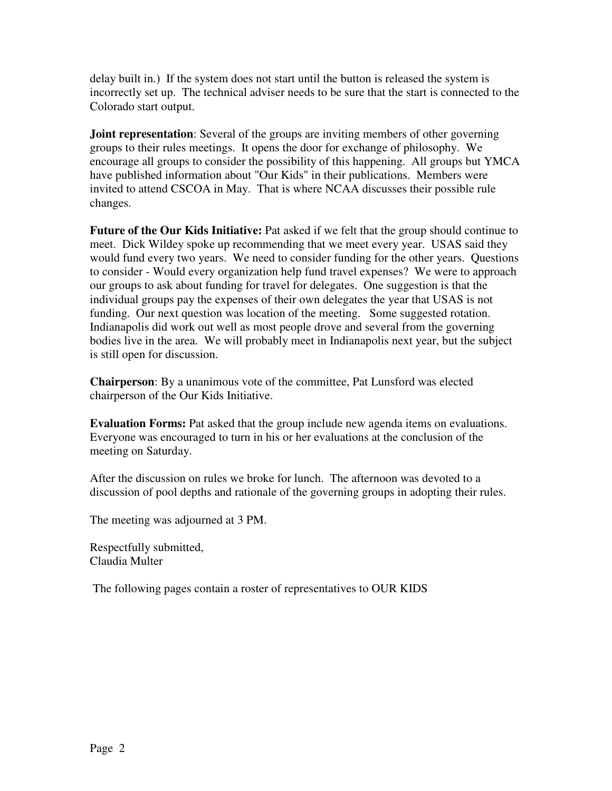delay built in.) If the system does not start until the button is released the system is incorrectly set up. The technical adviser needs to be sure that the start is connected to the Colorado start output.

**Joint representation**: Several of the groups are inviting members of other governing groups to their rules meetings. It opens the door for exchange of philosophy. We encourage all groups to consider the possibility of this happening. All groups but YMCA have published information about "Our Kids" in their publications. Members were invited to attend CSCOA in May. That is where NCAA discusses their possible rule changes.

**Future of the Our Kids Initiative:** Pat asked if we felt that the group should continue to meet. Dick Wildey spoke up recommending that we meet every year. USAS said they would fund every two years. We need to consider funding for the other years. Questions to consider - Would every organization help fund travel expenses? We were to approach our groups to ask about funding for travel for delegates. One suggestion is that the individual groups pay the expenses of their own delegates the year that USAS is not funding. Our next question was location of the meeting. Some suggested rotation. Indianapolis did work out well as most people drove and several from the governing bodies live in the area. We will probably meet in Indianapolis next year, but the subject is still open for discussion.

**Chairperson**: By a unanimous vote of the committee, Pat Lunsford was elected chairperson of the Our Kids Initiative.

**Evaluation Forms:** Pat asked that the group include new agenda items on evaluations. Everyone was encouraged to turn in his or her evaluations at the conclusion of the meeting on Saturday.

After the discussion on rules we broke for lunch. The afternoon was devoted to a discussion of pool depths and rationale of the governing groups in adopting their rules.

The meeting was adjourned at 3 PM.

Respectfully submitted, Claudia Multer

The following pages contain a roster of representatives to OUR KIDS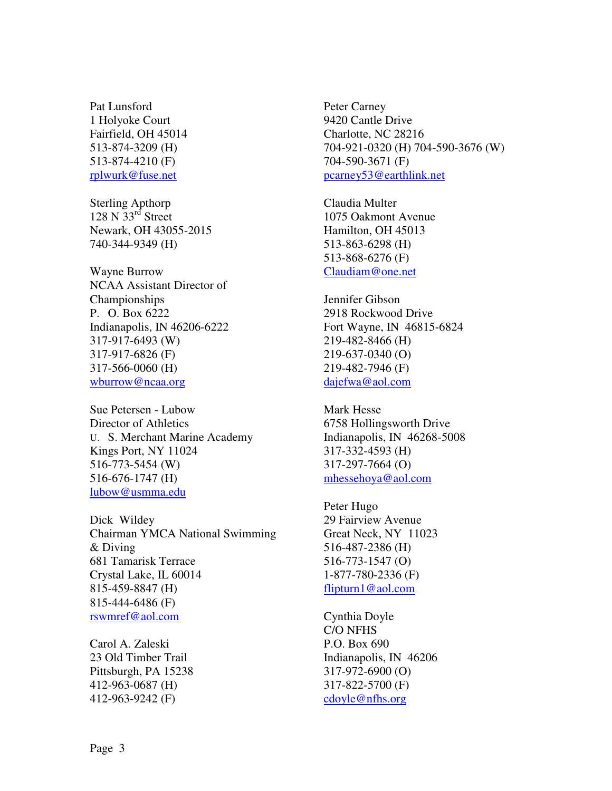Pat Lunsford 1 Holyoke Court Fairfield, OH 45014 513-874-3209 (H) 513-874-4210 (F) rplwurk@fuse.net

Sterling Apthorp  $128 \text{ N } 33^{\text{rd}}$  Street Newark, OH 43055-2015 740-344-9349 (H)

Wayne Burrow NCAA Assistant Director of Championships P. O. Box 6222 Indianapolis, IN 46206-6222 317-917-6493 (W) 317-917-6826 (F) 317-566-0060 (H) wburrow@ncaa.org

Sue Petersen - Lubow Director of Athletics U. S. Merchant Marine Academy Kings Port, NY 11024 516-773-5454 (W) 516-676-1747 (H) lubow@usmma.edu

Dick Wildey Chairman YMCA National Swimming & Diving 681 Tamarisk Terrace Crystal Lake, IL 60014 815-459-8847 (H) 815-444-6486 (F) rswmref@aol.com

Carol A. Zaleski 23 Old Timber Trail Pittsburgh, PA 15238 412-963-0687 (H) 412-963-9242 (F)

Peter Carney 9420 Cantle Drive Charlotte, NC 28216 704-921-0320 (H) 704-590-3676 (W) 704-590-3671 (F) pcarney53@earthlink.net

Claudia Multer 1075 Oakmont Avenue Hamilton, OH 45013 513-863-6298 (H) 513-868-6276 (F) Claudiam@one.net

Jennifer Gibson 2918 Rockwood Drive Fort Wayne, IN 46815-6824 219-482-8466 (H) 219-637-0340 (O) 219-482-7946 (F) dajefwa@aol.com

Mark Hesse 6758 Hollingsworth Drive Indianapolis, IN 46268-5008 317-332-4593 (H) 317-297-7664 (O) mhessehoya@aol.com

Peter Hugo 29 Fairview Avenue Great Neck, NY 11023 516-487-2386 (H) 516-773-1547 (O) 1-877-780-2336 (F) flipturn1@aol.com

Cynthia Doyle C/O NFHS P.O. Box 690 Indianapolis, IN 46206 317-972-6900 (O) 317-822-5700 (F) cdoyle@nfhs.org